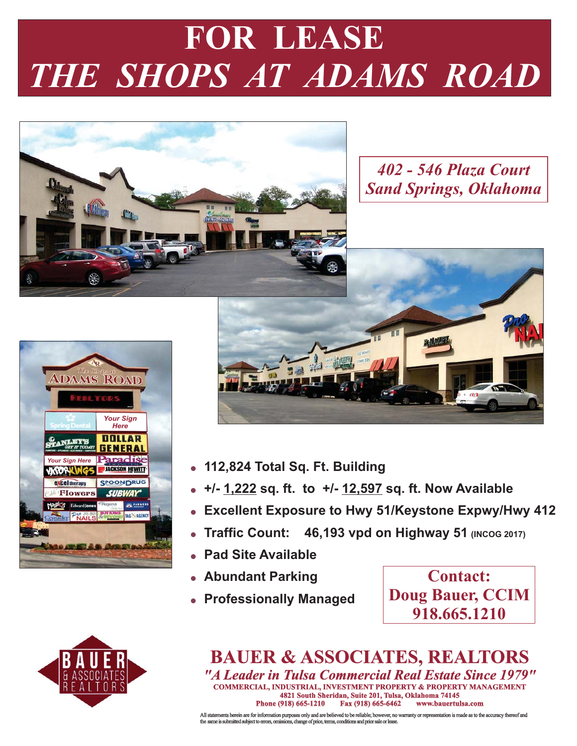# *THE SHOPS AT ADAMS ROAD*



*402 - 546 Plaza Court Sand Springs, Oklahoma*





- **112,824 Total Sq. Ft. Building**
- . +/- <u>1,222</u> sq. ft. to +/- <u>12,597</u> sq. ft. Now Available
- -**Excellent Exposure to Hwy 51/Keystone Expwy/Hwy 412**
- **Traffic Count: 46,193 vpd on Highway 51 (INCOG 2017)**
- -**Pad Site Available**
- **Abundant Parking**
- **Professionally Managed**

**Contact: Doug Bauer, CCIM 918.665.1210**



## **BAUER & ASSOCIATES, REALTORS** *"A Leader in Tulsa Commercial Real Estate Since 1979"* **COMMERCIAL, INDUSTRIAL, INVESTMENT PROPERTY & PROPERTY MANAGEMENT 4821 South Sheridan, Suite 201, Tulsa, Oklahoma 74145 Fax (918) 665-6462**

All statements herein are for information purposes only and are believed to be reliable; however, no warranty or representation is made as to the accuracy thereof and<br>the same is submitted subject to errors, omissions, cha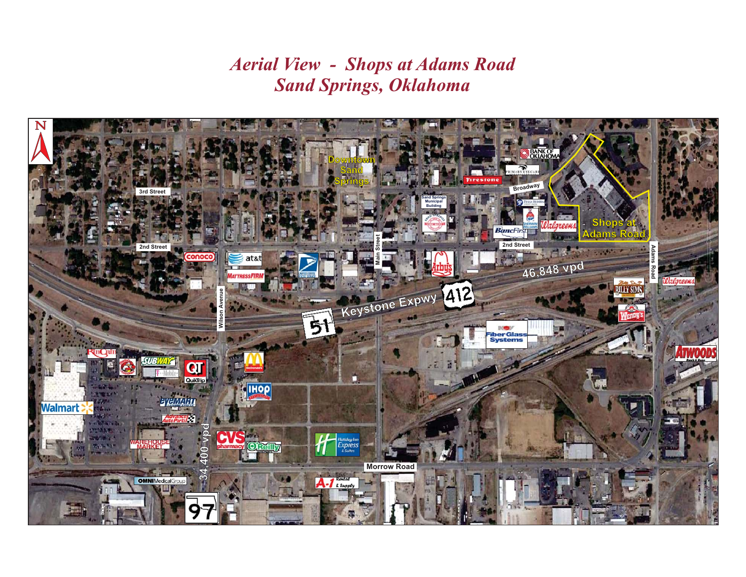*Aerial View - Shops at Adams Road Sand Springs, Oklahoma*

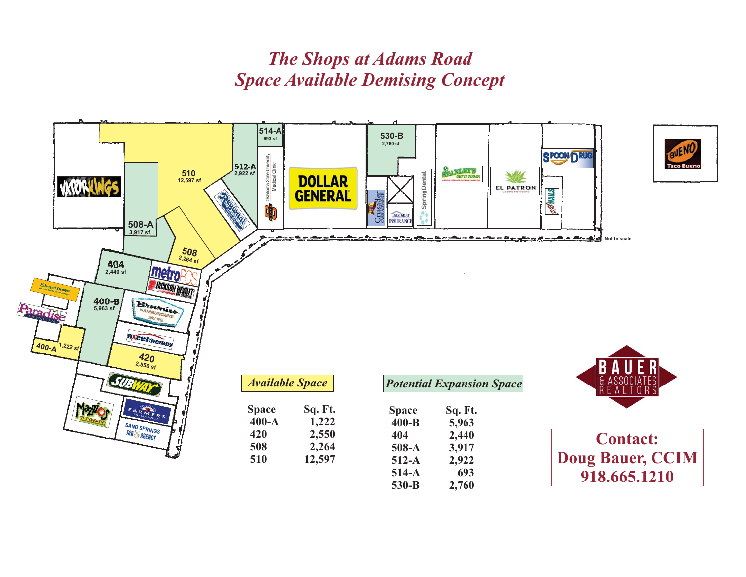# *Space Available Demising Concept The Shops at Adams Road*